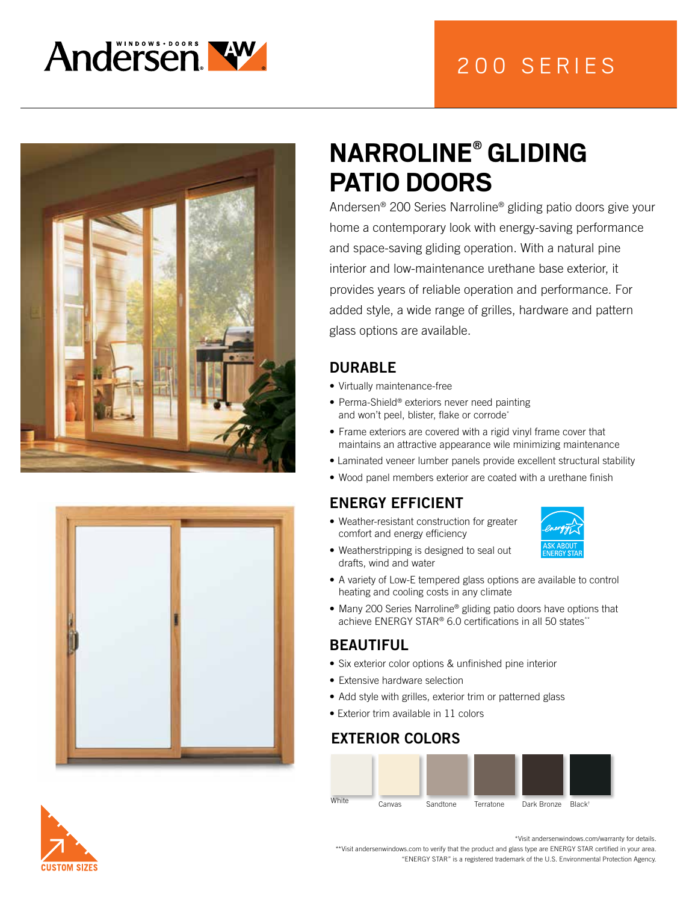

# 200 SERIES





# **NARROLINE® GLIDING PATIO DOORS**

Andersen® 200 Series Narroline® gliding patio doors give your home a contemporary look with energy-saving performance and space-saving gliding operation. With a natural pine interior and low-maintenance urethane base exterior, it provides years of reliable operation and performance. For added style, a wide range of grilles, hardware and pattern glass options are available.

### DURABLE

- Virtually maintenance-free
- Perma-Shield® exteriors never need painting and won't peel, blister, flake or corrode\*
- Frame exteriors are covered with a rigid vinyl frame cover that maintains an attractive appearance wile minimizing maintenance
- Laminated veneer lumber panels provide excellent structural stability
- Wood panel members exterior are coated with a urethane finish

### ENERGY EFFICIENT

• Weather-resistant construction for greater comfort and energy efficiency



- Weatherstripping is designed to seal out drafts, wind and water
- A variety of Low-E tempered glass options are available to control heating and cooling costs in any climate
- Many 200 Series Narroline<sup>®</sup> gliding patio doors have options that achieve  $ENFRGY$  STAR<sup>®</sup> 6.0 certifications in all 50 states<sup>\*\*</sup>

#### BEAUTIFUL

- Six exterior color options & unfinished pine interior
- Extensive hardware selection
- Add style with grilles, exterior trim or patterned glass
- Exterior trim available in 11 colors

#### EXTERIOR COLORS





\*Visit andersenwindows.com/warranty for details.

\*\*Visit andersenwindows.com to verify that the product and glass type are ENERGY STAR certified in your area. "ENERGY STAR" is a registered trademark of the U.S. Environmental Protection Agency.